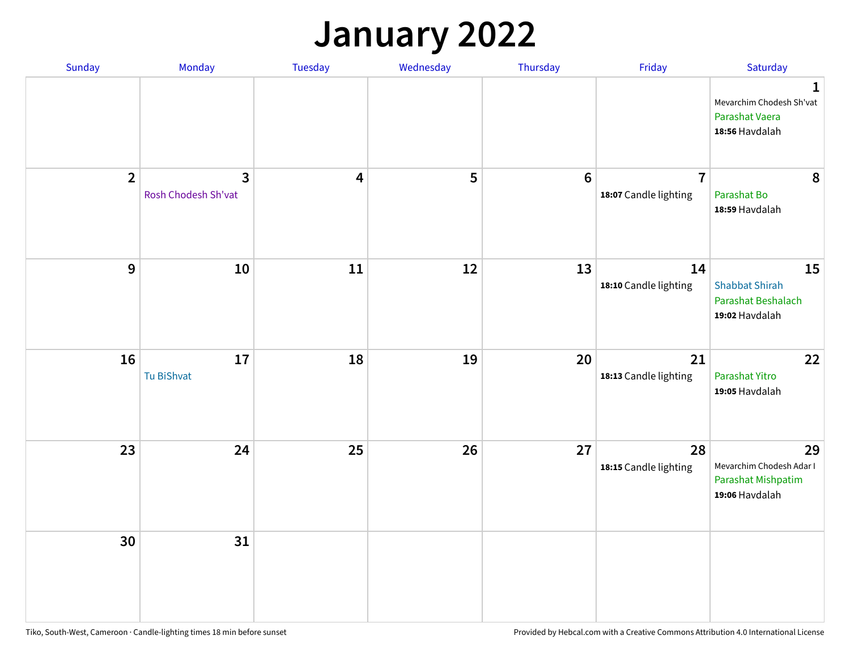#### **January 2022**

| Sunday         | Monday                              | Tuesday                 | Wednesday | Thursday        | Friday                                  | Saturday                                                                    |
|----------------|-------------------------------------|-------------------------|-----------|-----------------|-----------------------------------------|-----------------------------------------------------------------------------|
|                |                                     |                         |           |                 |                                         | $\mathbf 1$<br>Mevarchim Chodesh Sh'vat<br>Parashat Vaera<br>18:56 Havdalah |
| $\overline{2}$ | $\mathbf{3}$<br>Rosh Chodesh Sh'vat | $\overline{\mathbf{4}}$ | 5         | $6\phantom{1}6$ | $\overline{7}$<br>18:07 Candle lighting | 8<br>Parashat Bo<br>18:59 Havdalah                                          |
| $\mathbf{9}$   | 10                                  | 11                      | 12        | 13              | 14<br>18:10 Candle lighting             | 15<br><b>Shabbat Shirah</b><br>Parashat Beshalach<br>19:02 Havdalah         |
| 16             | 17<br>Tu BiShvat                    | 18                      | 19        | 20              | 21<br>18:13 Candle lighting             | 22<br>Parashat Yitro<br>19:05 Havdalah                                      |
| 23             | 24                                  | 25                      | 26        | 27              | 28<br>18:15 Candle lighting             | 29<br>Mevarchim Chodesh Adar I<br>Parashat Mishpatim<br>19:06 Havdalah      |
| 30             | 31                                  |                         |           |                 |                                         |                                                                             |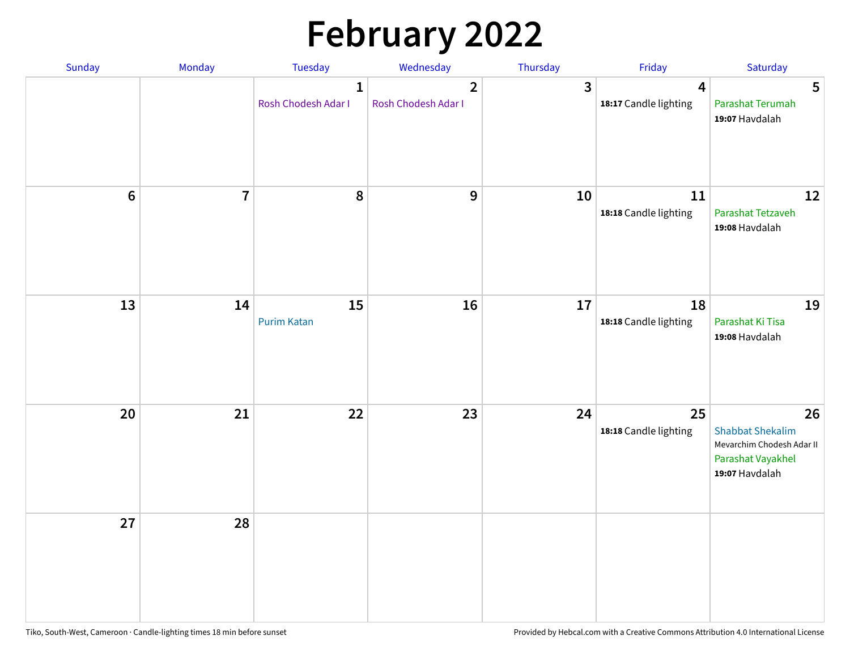# **February 2022**

| Sunday  | <b>Monday</b>  | <b>Tuesday</b>                      | Wednesday                             | Thursday       | Friday                                           | Saturday                                                                                          |
|---------|----------------|-------------------------------------|---------------------------------------|----------------|--------------------------------------------------|---------------------------------------------------------------------------------------------------|
|         |                | $\mathbf{1}$<br>Rosh Chodesh Adar I | $\overline{2}$<br>Rosh Chodesh Adar I | $\overline{3}$ | $\overline{\mathbf{4}}$<br>18:17 Candle lighting | 5<br>Parashat Terumah<br>19:07 Havdalah                                                           |
| $\bf 6$ | $\overline{7}$ | 8                                   | $\boldsymbol{9}$                      | 10             | 11<br>18:18 Candle lighting                      | 12<br>Parashat Tetzaveh<br>19:08 Havdalah                                                         |
| 13      | 14             | 15<br><b>Purim Katan</b>            | 16                                    | 17             | 18<br>18:18 Candle lighting                      | 19<br>Parashat Ki Tisa<br>19:08 Havdalah                                                          |
| 20      | 21             | 22                                  | 23                                    | 24             | 25<br>18:18 Candle lighting                      | 26<br><b>Shabbat Shekalim</b><br>Mevarchim Chodesh Adar II<br>Parashat Vayakhel<br>19:07 Havdalah |
| 27      | 28             |                                     |                                       |                |                                                  |                                                                                                   |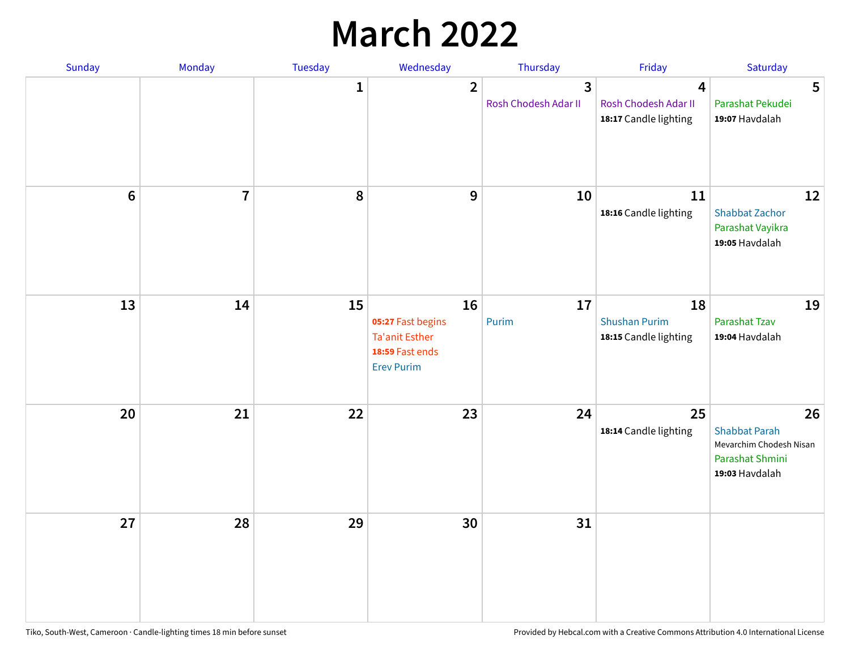## **March 2022**

| Sunday  | <b>Monday</b>  | <b>Tuesday</b> | Wednesday                                                                         | Thursday                                        | Friday                                                                   | Saturday                                                                                   |
|---------|----------------|----------------|-----------------------------------------------------------------------------------|-------------------------------------------------|--------------------------------------------------------------------------|--------------------------------------------------------------------------------------------|
|         |                | $\mathbf{1}$   | $\overline{2}$                                                                    | $\overline{\mathbf{3}}$<br>Rosh Chodesh Adar II | $\overline{\mathbf{4}}$<br>Rosh Chodesh Adar II<br>18:17 Candle lighting | 5<br>Parashat Pekudei<br>19:07 Havdalah                                                    |
| $\bf 6$ | $\overline{7}$ | 8              | 9                                                                                 | 10                                              | 11<br>18:16 Candle lighting                                              | 12<br><b>Shabbat Zachor</b><br>Parashat Vayikra<br>19:05 Havdalah                          |
| 13      | 14             | 15             | 16<br>05:27 Fast begins<br>Ta'anit Esther<br>18:59 Fast ends<br><b>Erev Purim</b> | 17<br>Purim                                     | 18<br><b>Shushan Purim</b><br>18:15 Candle lighting                      | 19<br>Parashat Tzav<br>19:04 Havdalah                                                      |
| 20      | 21             | 22             | 23                                                                                | 24                                              | 25<br>18:14 Candle lighting                                              | 26<br><b>Shabbat Parah</b><br>Mevarchim Chodesh Nisan<br>Parashat Shmini<br>19:03 Havdalah |
| 27      | 28             | 29             | 30                                                                                | 31                                              |                                                                          |                                                                                            |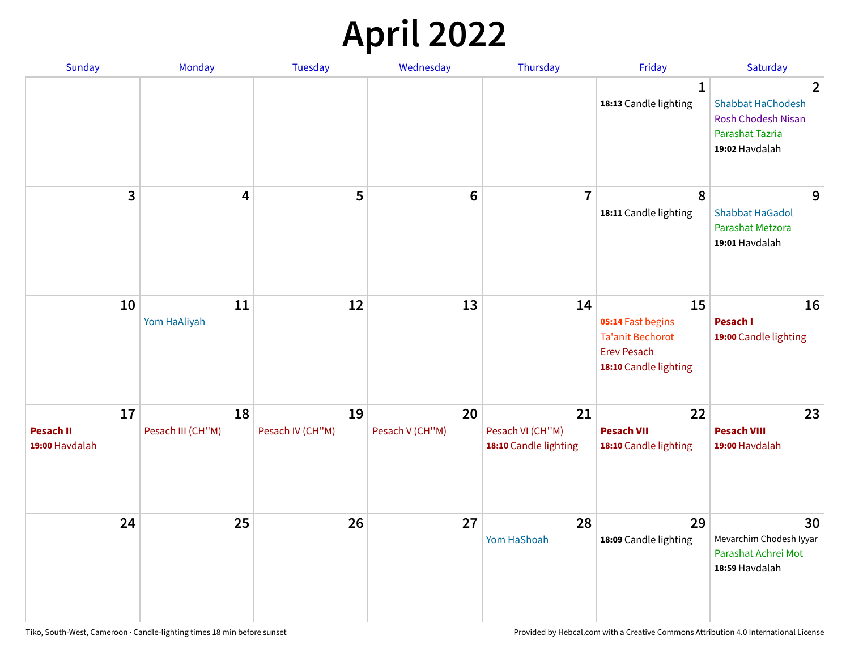## **April 2022**

| Sunday                                   | Monday                  | <b>Tuesday</b>         | Wednesday             | Thursday                                        | Friday                                                                                            | Saturday                                                                                                                     |
|------------------------------------------|-------------------------|------------------------|-----------------------|-------------------------------------------------|---------------------------------------------------------------------------------------------------|------------------------------------------------------------------------------------------------------------------------------|
|                                          |                         |                        |                       |                                                 | $\mathbf 1$<br>18:13 Candle lighting                                                              | $\overline{\mathbf{2}}$<br><b>Shabbat HaChodesh</b><br><b>Rosh Chodesh Nisan</b><br><b>Parashat Tazria</b><br>19:02 Havdalah |
| 3                                        | $\overline{\mathbf{4}}$ | 5                      | $6\phantom{1}6$       | $\overline{7}$                                  | 8<br>18:11 Candle lighting                                                                        | 9<br><b>Shabbat HaGadol</b><br>Parashat Metzora<br>19:01 Havdalah                                                            |
| 10                                       | 11<br>Yom HaAliyah      | 12                     | 13                    | 14                                              | 15<br>05:14 Fast begins<br><b>Ta'anit Bechorot</b><br><b>Erev Pesach</b><br>18:10 Candle lighting | 16<br>Pesach I<br>19:00 Candle lighting                                                                                      |
| 17<br><b>Pesach II</b><br>19:00 Havdalah | 18<br>Pesach III (CH"M) | 19<br>Pesach IV (CH"M) | 20<br>Pesach V (CH"M) | 21<br>Pesach VI (CH"M)<br>18:10 Candle lighting | 22<br><b>Pesach VII</b><br>18:10 Candle lighting                                                  | 23<br><b>Pesach VIII</b><br>19:00 Havdalah                                                                                   |
| 24                                       | 25                      | 26                     | 27                    | 28<br>Yom HaShoah                               | 29<br>18:09 Candle lighting                                                                       | 30<br>Mevarchim Chodesh Iyyar<br>Parashat Achrei Mot<br>18:59 Havdalah                                                       |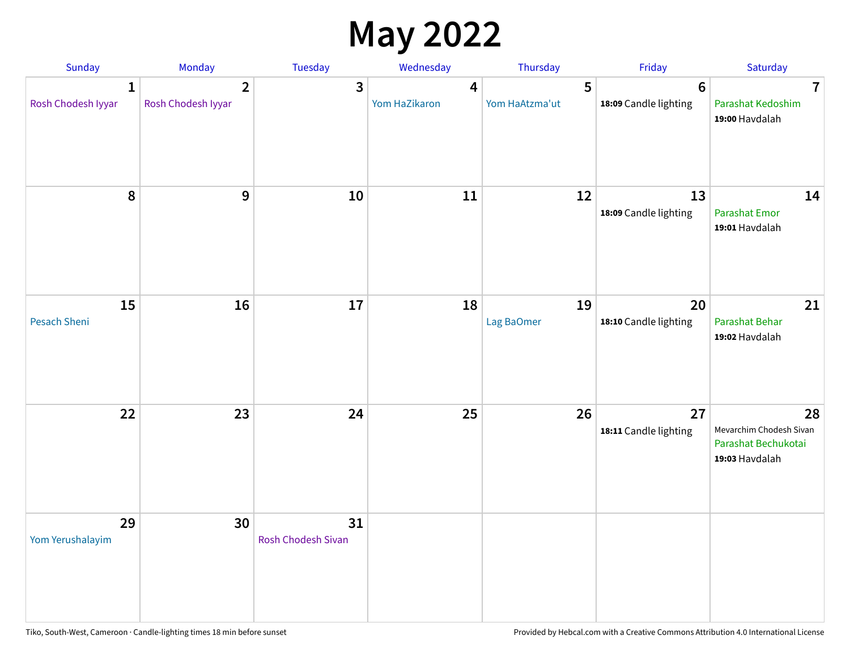## **May 2022**

| Sunday                  | Monday                               | Tuesday                         | Wednesday          | Thursday            | Friday                                  | Saturday                                                               |
|-------------------------|--------------------------------------|---------------------------------|--------------------|---------------------|-----------------------------------------|------------------------------------------------------------------------|
| 1<br>Rosh Chodesh Iyyar | $\overline{2}$<br>Rosh Chodesh Iyyar | 3                               | 4<br>Yom HaZikaron | 5<br>Yom HaAtzma'ut | $6\phantom{1}$<br>18:09 Candle lighting | $\overline{7}$<br>Parashat Kedoshim<br>19:00 Havdalah                  |
| $\pmb{8}$               | $\mathbf{9}$                         | 10                              | 11                 | 12                  | 13<br>18:09 Candle lighting             | 14<br><b>Parashat Emor</b><br>19:01 Havdalah                           |
| 15<br>Pesach Sheni      | 16                                   | 17                              | 18                 | 19<br>Lag BaOmer    | 20<br>18:10 Candle lighting             | 21<br>Parashat Behar<br>19:02 Havdalah                                 |
| 22                      | 23                                   | 24                              | 25                 | 26                  | 27<br>18:11 Candle lighting             | 28<br>Mevarchim Chodesh Sivan<br>Parashat Bechukotai<br>19:03 Havdalah |
| 29<br>Yom Yerushalayim  | 30                                   | 31<br><b>Rosh Chodesh Sivan</b> |                    |                     |                                         |                                                                        |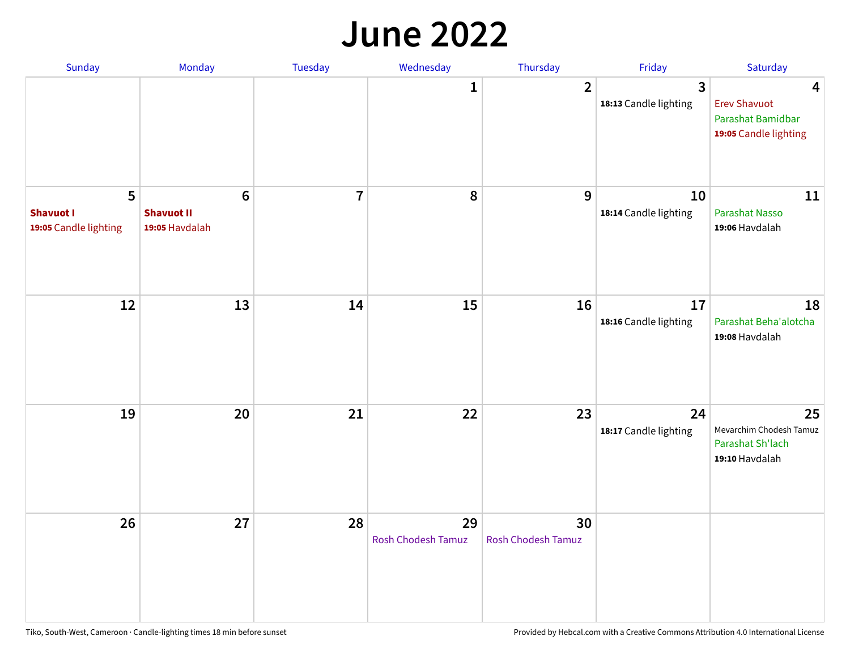#### **June 2022**

| Sunday                                         | Monday                                                 | Tuesday        | Wednesday                       | Thursday                        | Friday                      | Saturday                                                               |
|------------------------------------------------|--------------------------------------------------------|----------------|---------------------------------|---------------------------------|-----------------------------|------------------------------------------------------------------------|
|                                                |                                                        |                | 1                               | $\overline{2}$                  | 3<br>18:13 Candle lighting  | 4<br><b>Erev Shavuot</b><br>Parashat Bamidbar<br>19:05 Candle lighting |
| 5<br><b>Shavuot I</b><br>19:05 Candle lighting | $6\phantom{1}6$<br><b>Shavuot II</b><br>19:05 Havdalah | $\overline{7}$ | 8                               | 9                               | 10<br>18:14 Candle lighting | 11<br><b>Parashat Nasso</b><br>19:06 Havdalah                          |
| 12                                             | 13                                                     | 14             | 15                              | 16                              | 17<br>18:16 Candle lighting | 18<br>Parashat Beha'alotcha<br>19:08 Havdalah                          |
| 19                                             | 20                                                     | 21             | 22                              | 23                              | 24<br>18:17 Candle lighting | 25<br>Mevarchim Chodesh Tamuz<br>Parashat Sh'lach<br>19:10 Havdalah    |
| 26                                             | 27                                                     | 28             | 29<br><b>Rosh Chodesh Tamuz</b> | 30<br><b>Rosh Chodesh Tamuz</b> |                             |                                                                        |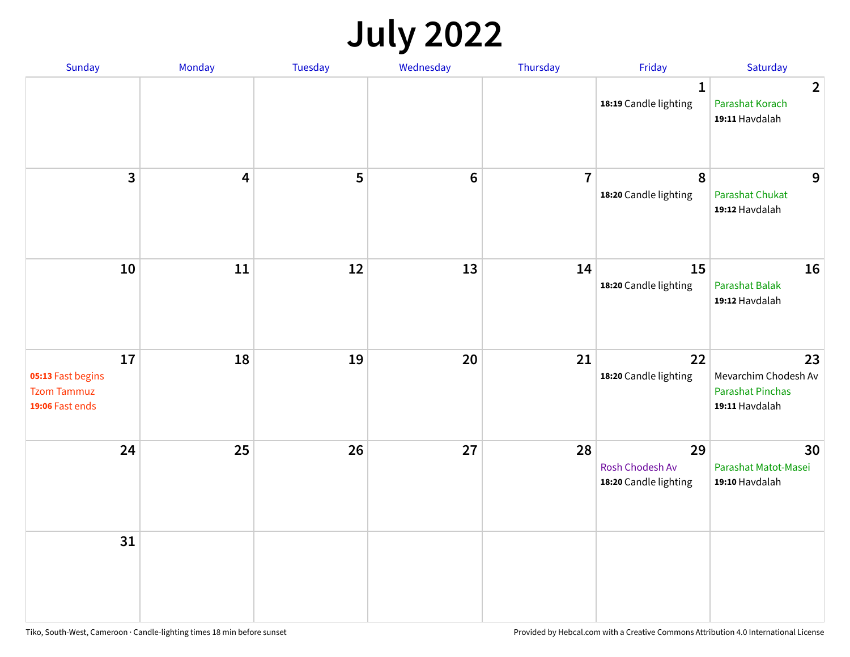## **July 2022**

| Sunday                                                           | Monday | Tuesday | Wednesday      | Thursday       | Friday                                         | Saturday                                                                |
|------------------------------------------------------------------|--------|---------|----------------|----------------|------------------------------------------------|-------------------------------------------------------------------------|
|                                                                  |        |         |                |                | $\mathbf{1}$<br>18:19 Candle lighting          | $\overline{2}$<br>Parashat Korach<br>19:11 Havdalah                     |
| $\overline{3}$                                                   | 4      | 5       | $6\phantom{1}$ | $\overline{7}$ | $\boldsymbol{8}$<br>18:20 Candle lighting      | 9<br><b>Parashat Chukat</b><br>19:12 Havdalah                           |
| 10                                                               | 11     | 12      | 13             | 14             | 15<br>18:20 Candle lighting                    | 16<br>Parashat Balak<br>19:12 Havdalah                                  |
| 17<br>05:13 Fast begins<br><b>Tzom Tammuz</b><br>19:06 Fast ends | 18     | 19      | 20             | 21             | 22<br>18:20 Candle lighting                    | 23<br>Mevarchim Chodesh Av<br><b>Parashat Pinchas</b><br>19:11 Havdalah |
| 24                                                               | 25     | 26      | 27             | 28             | 29<br>Rosh Chodesh Av<br>18:20 Candle lighting | 30<br>Parashat Matot-Masei<br>19:10 Havdalah                            |
| 31                                                               |        |         |                |                |                                                |                                                                         |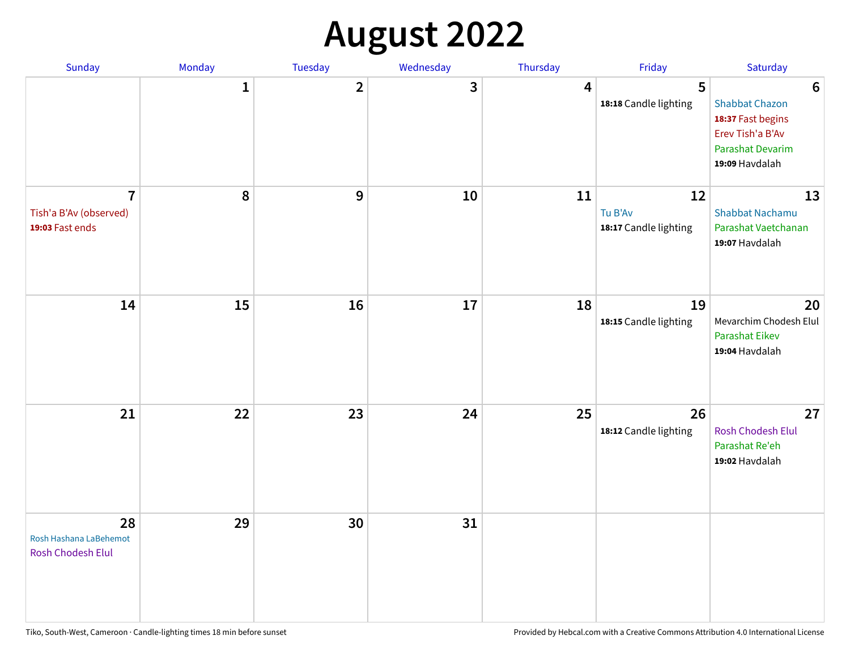## **August 2022**

| Sunday                                                      | Monday       | Tuesday      | Wednesday | Thursday | Friday                                 | Saturday                                                                                                                       |
|-------------------------------------------------------------|--------------|--------------|-----------|----------|----------------------------------------|--------------------------------------------------------------------------------------------------------------------------------|
|                                                             | $\mathbf{1}$ | $\mathbf{2}$ | 3         | 4        | 5<br>18:18 Candle lighting             | $6\phantom{1}6$<br><b>Shabbat Chazon</b><br>18:37 Fast begins<br>Erev Tish'a B'Av<br><b>Parashat Devarim</b><br>19:09 Havdalah |
| $\overline{7}$<br>Tish'a B'Av (observed)<br>19:03 Fast ends | 8            | 9            | 10        | 11       | 12<br>Tu B'Av<br>18:17 Candle lighting | 13<br><b>Shabbat Nachamu</b><br>Parashat Vaetchanan<br>19:07 Havdalah                                                          |
| 14                                                          | 15           | 16           | 17        | 18       | 19<br>18:15 Candle lighting            | 20<br>Mevarchim Chodesh Elul<br>Parashat Eikev<br>19:04 Havdalah                                                               |
| 21                                                          | 22           | 23           | 24        | 25       | 26<br>18:12 Candle lighting            | 27<br>Rosh Chodesh Elul<br>Parashat Re'eh<br>19:02 Havdalah                                                                    |
| 28<br>Rosh Hashana LaBehemot<br>Rosh Chodesh Elul           | 29           | 30           | 31        |          |                                        |                                                                                                                                |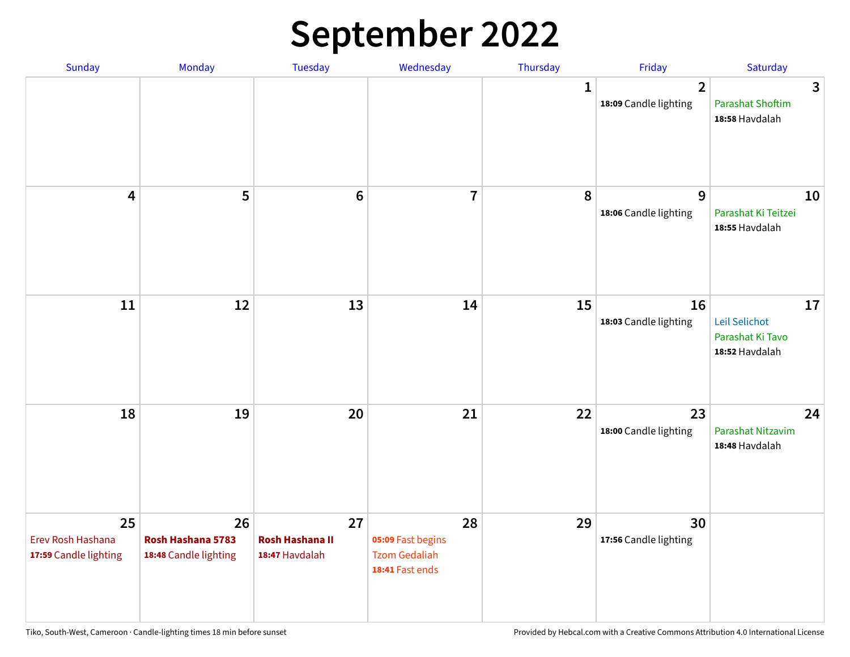## **September 2022**

| Sunday                                           | Monday                                           | Tuesday                                        | Wednesday                                                          | Thursday     | Friday                                  | Saturday                                                  |
|--------------------------------------------------|--------------------------------------------------|------------------------------------------------|--------------------------------------------------------------------|--------------|-----------------------------------------|-----------------------------------------------------------|
|                                                  |                                                  |                                                |                                                                    | $\mathbf{1}$ | $\overline{2}$<br>18:09 Candle lighting | 3<br><b>Parashat Shoftim</b><br>18:58 Havdalah            |
| $\overline{\mathbf{4}}$                          | 5                                                | $6\phantom{1}6$                                | $\overline{7}$                                                     | 8            | 9<br>18:06 Candle lighting              | 10<br>Parashat Ki Teitzei<br>18:55 Havdalah               |
| $11\,$                                           | 12                                               | 13                                             | 14                                                                 | 15           | 16<br>18:03 Candle lighting             | 17<br>Leil Selichot<br>Parashat Ki Tavo<br>18:52 Havdalah |
| 18                                               | 19                                               | 20                                             | 21                                                                 | 22           | 23<br>18:00 Candle lighting             | 24<br>Parashat Nitzavim<br>18:48 Havdalah                 |
| 25<br>Erev Rosh Hashana<br>17:59 Candle lighting | 26<br>Rosh Hashana 5783<br>18:48 Candle lighting | 27<br><b>Rosh Hashana II</b><br>18:47 Havdalah | 28<br>05:09 Fast begins<br><b>Tzom Gedaliah</b><br>18:41 Fast ends | 29           | 30<br>17:56 Candle lighting             |                                                           |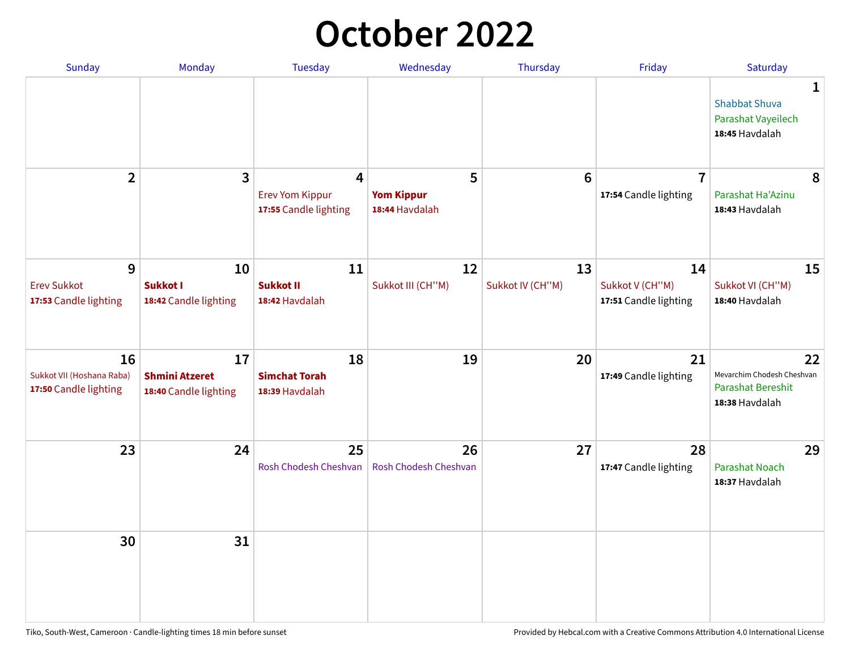## **October 2022**

| <b>Sunday</b>                                            | <b>Monday</b>                                        | <b>Tuesday</b>                                       | Wednesday                                | Thursday               | Friday                                         | Saturday                                                                       |
|----------------------------------------------------------|------------------------------------------------------|------------------------------------------------------|------------------------------------------|------------------------|------------------------------------------------|--------------------------------------------------------------------------------|
|                                                          |                                                      |                                                      |                                          |                        |                                                | 1<br><b>Shabbat Shuva</b><br>Parashat Vayeilech<br>18:45 Havdalah              |
| $\overline{2}$                                           | 3                                                    | 4<br><b>Erev Yom Kippur</b><br>17:55 Candle lighting | 5<br><b>Yom Kippur</b><br>18:44 Havdalah | $6\phantom{1}6$        | $\overline{7}$<br>17:54 Candle lighting        | 8<br>Parashat Ha'Azinu<br>18:43 Havdalah                                       |
| 9<br><b>Erev Sukkot</b><br>17:53 Candle lighting         | 10<br><b>Sukkot I</b><br>18:42 Candle lighting       | 11<br><b>Sukkot II</b><br>18:42 Havdalah             | 12<br>Sukkot III (CH"M)                  | 13<br>Sukkot IV (CH"M) | 14<br>Sukkot V (CH"M)<br>17:51 Candle lighting | 15<br>Sukkot VI (CH"M)<br>18:40 Havdalah                                       |
| 16<br>Sukkot VII (Hoshana Raba)<br>17:50 Candle lighting | 17<br><b>Shmini Atzeret</b><br>18:40 Candle lighting | 18<br><b>Simchat Torah</b><br>18:39 Havdalah         | 19                                       | 20                     | 21<br>17:49 Candle lighting                    | 22<br>Mevarchim Chodesh Cheshvan<br><b>Parashat Bereshit</b><br>18:38 Havdalah |
| 23                                                       | 24                                                   | 25<br>Rosh Chodesh Cheshvan                          | 26<br>Rosh Chodesh Cheshvan              | 27                     | 28<br>17:47 Candle lighting                    | 29<br><b>Parashat Noach</b><br>18:37 Havdalah                                  |
| 30                                                       | 31                                                   |                                                      |                                          |                        |                                                |                                                                                |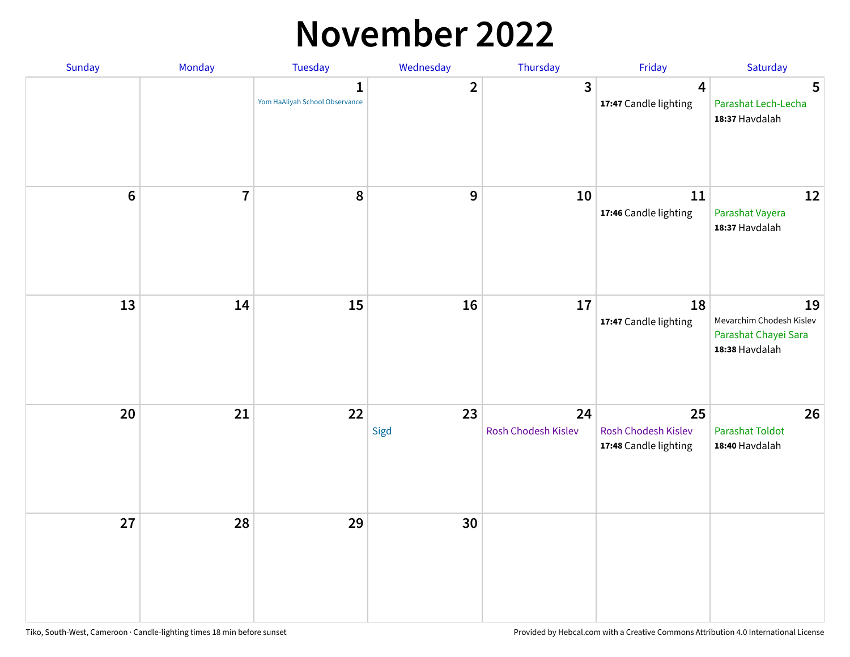### **November 2022**

| Sunday         | Monday         | Tuesday                             | Wednesday               | Thursday                  | Friday                                             | Saturday                                                                 |
|----------------|----------------|-------------------------------------|-------------------------|---------------------------|----------------------------------------------------|--------------------------------------------------------------------------|
|                |                | 1<br>Yom HaAliyah School Observance | $\overline{\mathbf{2}}$ | $\mathbf{3}$              | $\overline{\mathbf{4}}$<br>17:47 Candle lighting   | 5<br>Parashat Lech-Lecha<br>18:37 Havdalah                               |
| $6\phantom{1}$ | $\overline{7}$ | 8                                   | $\boldsymbol{9}$        | 10                        | 11<br>17:46 Candle lighting                        | 12<br>Parashat Vayera<br>18:37 Havdalah                                  |
| 13             | 14             | 15                                  | 16                      | 17                        | 18<br>17:47 Candle lighting                        | 19<br>Mevarchim Chodesh Kislev<br>Parashat Chayei Sara<br>18:38 Havdalah |
| 20             | 21             | 22                                  | 23<br>Sigd              | 24<br>Rosh Chodesh Kislev | 25<br>Rosh Chodesh Kislev<br>17:48 Candle lighting | 26<br><b>Parashat Toldot</b><br>18:40 Havdalah                           |
| 27             | 28             | 29                                  | 30                      |                           |                                                    |                                                                          |